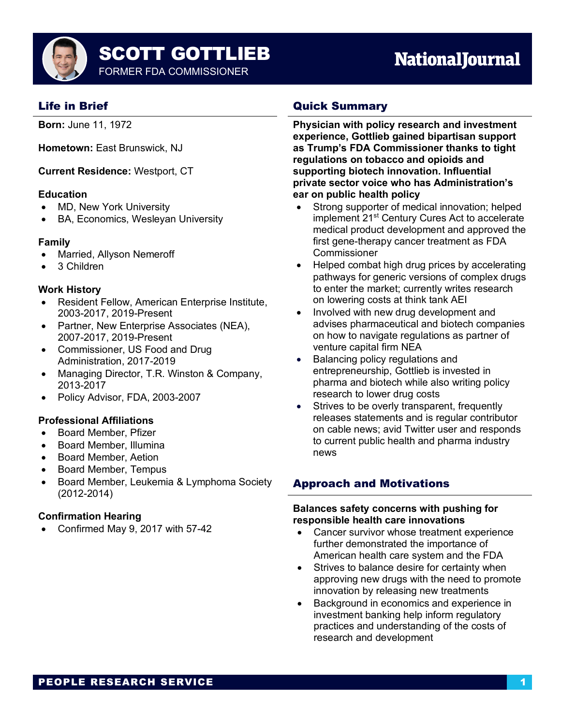

FORMER FDA COMMISSIONER

**Born:** June 11, 1972

**Hometown:** East Brunswick, NJ

**Current Residence:** Westport, CT

### **Education**

- MD, New York University
- BA, Economics, Wesleyan University

### **Family**

- Married, Allyson Nemeroff
- 3 Children

## **Work History**

- Resident Fellow, American Enterprise Institute, 2003-2017, 2019-Present
- Partner, New Enterprise Associates (NEA), 2007-2017, 2019-Present
- Commissioner, US Food and Drug Administration, 2017-2019
- Managing Director, T.R. Winston & Company, 2013-2017
- Policy Advisor, FDA, 2003-2007

## **Professional Affiliations**

- Board Member, Pfizer
- Board Member, Illumina
- Board Member, Aetion
- Board Member, Tempus
- Board Member, Leukemia & Lymphoma Society (2012-2014)

## **Confirmation Hearing**

• Confirmed May 9, 2017 with 57-42

## **Life in Brief Community Community Community Community Community Community Community Community Community Community**

**Physician with policy research and investment experience, Gottlieb gained bipartisan support as Trump's FDA Commissioner thanks to tight regulations on tobacco and opioids and supporting biotech innovation. Influential private sector voice who has Administration's ear on public health policy**

- Strong supporter of medical innovation; helped implement 21<sup>st</sup> Century Cures Act to accelerate medical product development and approved the first gene-therapy cancer treatment as FDA Commissioner
- Helped combat high drug prices by accelerating pathways for generic versions of complex drugs to enter the market; currently writes research on lowering costs at think tank AEI
- Involved with new drug development and advises pharmaceutical and biotech companies on how to navigate regulations as partner of venture capital firm NEA
- Balancing policy regulations and entrepreneurship, Gottlieb is invested in pharma and biotech while also writing policy research to lower drug costs
- Strives to be overly transparent, frequently releases statements and is regular contributor on cable news; avid Twitter user and responds to current public health and pharma industry news

## Approach and Motivations

### **Balances safety concerns with pushing for responsible health care innovations**

- Cancer survivor whose treatment experience further demonstrated the importance of American health care system and the FDA
- Strives to balance desire for certainty when approving new drugs with the need to promote innovation by releasing new treatments
- Background in economics and experience in investment banking help inform regulatory practices and understanding of the costs of research and development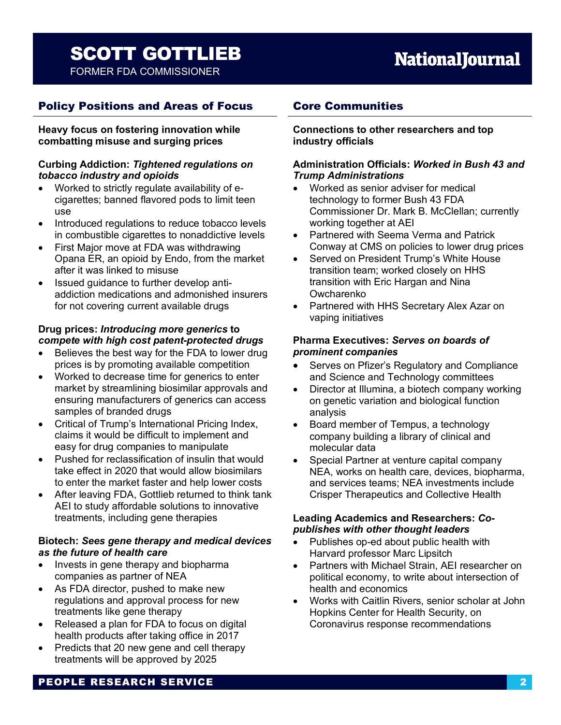FORMER FDA COMMISSIONER

## **Policy Positions and Areas of Focus Core Communities**

**Heavy focus on fostering innovation while combatting misuse and surging prices** 

#### **Curbing Addiction:** *Tightened regulations on tobacco industry and opioids*

- Worked to strictly regulate availability of ecigarettes; banned flavored pods to limit teen use
- Introduced regulations to reduce tobacco levels in combustible cigarettes to nonaddictive levels
- First Major move at FDA was withdrawing Opana ER, an opioid by Endo, from the market after it was linked to misuse
- Issued guidance to further develop antiaddiction medications and admonished insurers for not covering current available drugs

#### **Drug prices:** *Introducing more generics* **to**  *compete with high cost patent-protected drugs*

- Believes the best way for the FDA to lower drug prices is by promoting available competition
- Worked to decrease time for generics to enter market by streamlining biosimilar approvals and ensuring manufacturers of generics can access samples of branded drugs
- Critical of Trump's International Pricing Index, claims it would be difficult to implement and easy for drug companies to manipulate
- Pushed for reclassification of insulin that would take effect in 2020 that would allow biosimilars to enter the market faster and help lower costs
- After leaving FDA, Gottlieb returned to think tank AEI to study affordable solutions to innovative treatments, including gene therapies

### **Biotech:** *Sees gene therapy and medical devices as the future of health care*

- Invests in gene therapy and biopharma companies as partner of NEA
- As FDA director, pushed to make new regulations and approval process for new treatments like gene therapy
- Released a plan for FDA to focus on digital health products after taking office in 2017
- Predicts that 20 new gene and cell therapy treatments will be approved by 2025

**Connections to other researchers and top industry officials** 

#### **Administration Officials:** *Worked in Bush 43 and Trump Administrations*

- Worked as senior adviser for medical technology to former Bush 43 FDA Commissioner Dr. Mark B. McClellan; currently working together at AEI
- Partnered with Seema Verma and Patrick Conway at CMS on policies to lower drug prices
- Served on President Trump's White House transition team; worked closely on HHS transition with Eric Hargan and Nina Owcharenko
- Partnered with HHS Secretary Alex Azar on vaping initiatives

### **Pharma Executives:** *Serves on boards of prominent companies*

- Serves on Pfizer's Regulatory and Compliance and Science and Technology committees
- Director at Illumina, a biotech company working on genetic variation and biological function analysis
- Board member of Tempus, a technology company building a library of clinical and molecular data
- Special Partner at venture capital company NEA, works on health care, devices, biopharma, and services teams; NEA investments include Crisper Therapeutics and Collective Health

#### **Leading Academics and Researchers:** *Copublishes with other thought leaders*

- Publishes op-ed about public health with Harvard professor Marc Lipsitch
- Partners with Michael Strain, AEI researcher on political economy, to write about intersection of health and economics
- Works with Caitlin Rivers, senior scholar at John Hopkins Center for Health Security, on Coronavirus response recommendations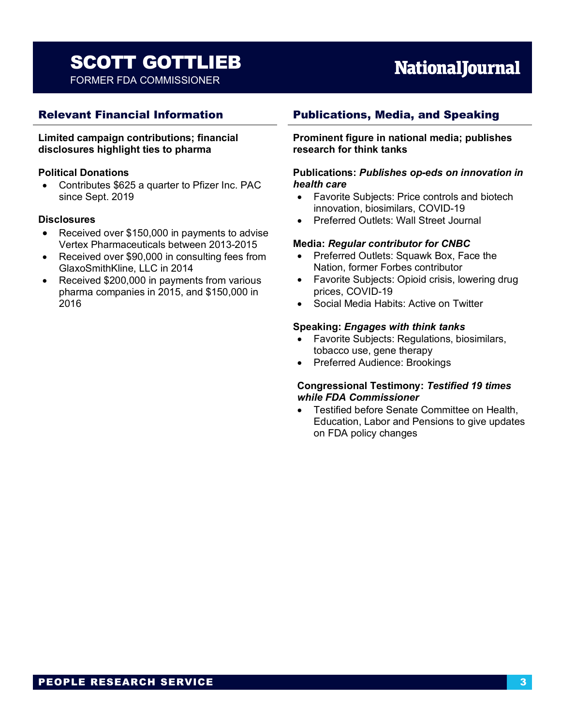## SCOTT GOTTLIEB FORMER FDA COMMISSIONER

# **NationalJournal**

#### **Limited campaign contributions; financial disclosures highlight ties to pharma**

#### **Political Donations**

• Contributes \$625 a quarter to Pfizer Inc. PAC since Sept. 2019

#### **Disclosures**

- Received over \$150,000 in payments to advise Vertex Pharmaceuticals between 2013-2015
- Received over \$90,000 in consulting fees from GlaxoSmithKline, LLC in 2014
- Received \$200,000 in payments from various pharma companies in 2015, and \$150,000 in 2016

## Relevant Financial Information Publications, Media, and Speaking

#### **Prominent figure in national media; publishes research for think tanks**

#### **Publications:** *Publishes op-eds on innovation in health care*

- Favorite Subjects: Price controls and biotech innovation, biosimilars, COVID-19
- Preferred Outlets: Wall Street Journal

#### **Media:** *Regular contributor for CNBC*

- Preferred Outlets: Squawk Box, Face the Nation, former Forbes contributor
- Favorite Subjects: Opioid crisis, lowering drug prices, COVID-19
- Social Media Habits: Active on Twitter

#### **Speaking:** *Engages with think tanks*

- Favorite Subjects: Regulations, biosimilars, tobacco use, gene therapy
- Preferred Audience: Brookings

#### **Congressional Testimony:** *Testified 19 times while FDA Commissioner*

• Testified before Senate Committee on Health, Education, Labor and Pensions to give updates on FDA policy changes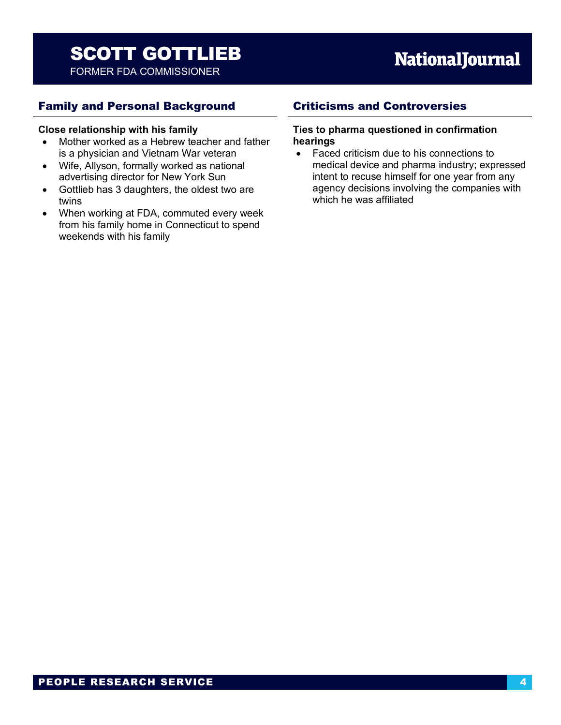FORMER FDA COMMISSIONER

## Family and Personal Background Criticisms and Controversies

#### **Close relationship with his family**

- Mother worked as a Hebrew teacher and father is a physician and Vietnam War veteran
- Wife, Allyson, formally worked as national advertising director for New York Sun
- Gottlieb has 3 daughters, the oldest two are twins
- When working at FDA, commuted every week from his family home in Connecticut to spend weekends with his family

#### **Ties to pharma questioned in confirmation hearings**

• Faced criticism due to his connections to medical device and pharma industry; expressed intent to recuse himself for one year from any agency decisions involving the companies with which he was affiliated